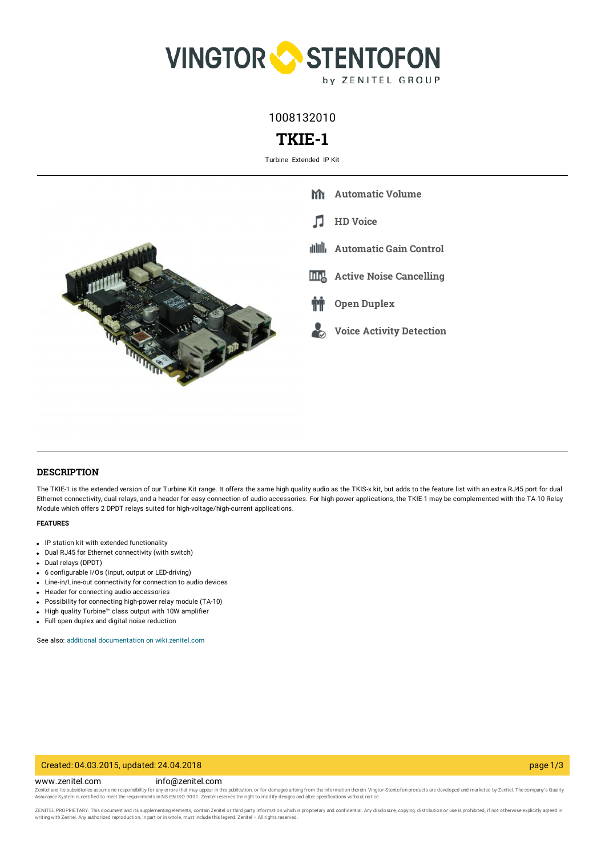

1008132010

# **TKIE-1**

Turbine Extended IP Kit



## **DESCRIPTION**

The TKIE-1 is the extended version of our Turbine Kit range. It offers the same high quality audio as the TKIS-x kit, but adds to the feature list with an extra RJ45 port for dual Ethernet connectivity, dual relays, and a header for easy connection of audio accessories. For high-power applications, the TKIE-1 may be complemented with the TA-10 Relay Module which offers 2 DPDT relays suited for high-voltage/high-current applications.

#### **FEATURES**

- IP station kit with extended functionality
- Dual RJ45 for Ethernet connectivity (with switch)
- Dual relays (DPDT)
- 6 configurable I/Os (input, output or LED-driving)
- Line-in/Line-out connectivity for connection to audio devices
- Header for connecting audio accessories
- Possibility for connecting high-power relay module (TA-10)
- High quality Turbine™ class output with 10W amplifier
- Full open duplex and digital noise reduction

See also: additional documentation on wiki zenitel.com

### Created: 04.03.2015, updated: 24.04.2018 page 1/3

#### www.zenitel.com info@zenitel.com

Zenitel and its subsidiaries assume no responsibility for any errors that may appear in this publication, or for damages arising from the information therein. Vingtor-Stentofon products are developed and marketed by Zenite

ZENITEL PROPRIETARY. This document and its supplementing elements, contain Zenitel or third party information which is proprietary and confidential. Any disclosure, copying, distribution or use is prohibited, if not otherw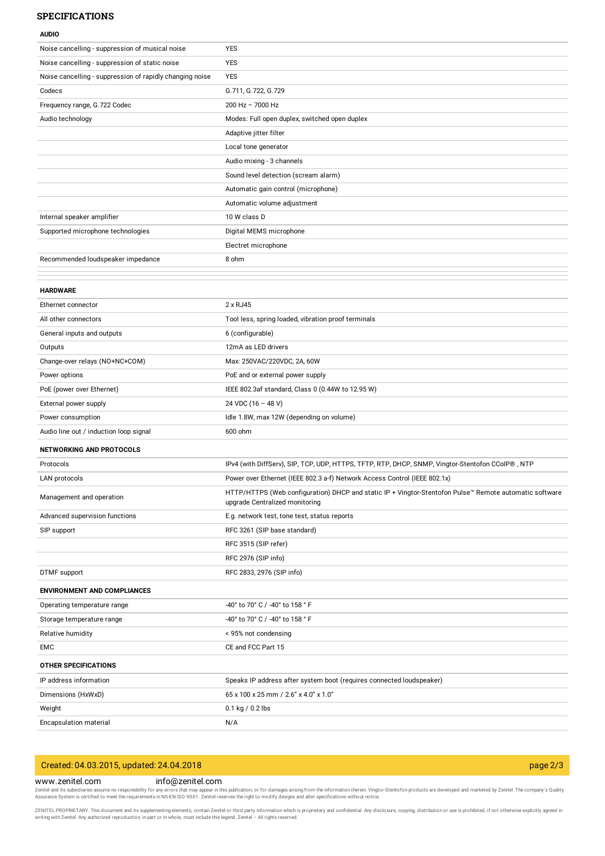#### **SPECIFICATIONS**

| <b>AUDIO</b>                                             |                                                                                                        |
|----------------------------------------------------------|--------------------------------------------------------------------------------------------------------|
| Noise cancelling - suppression of musical noise          | <b>YES</b>                                                                                             |
| Noise cancelling - suppression of static noise           | <b>YES</b>                                                                                             |
| Noise cancelling - suppression of rapidly changing noise | <b>YES</b>                                                                                             |
| Codecs                                                   | G.711, G.722, G.729                                                                                    |
| Frequency range, G.722 Codec                             | $200$ Hz $- 7000$ Hz                                                                                   |
| Audio technology                                         | Modes: Full open duplex, switched open duplex                                                          |
|                                                          | Adaptive jitter filter                                                                                 |
|                                                          | Local tone generator                                                                                   |
|                                                          | Audio mixing - 3 channels                                                                              |
|                                                          | Sound level detection (scream alarm)                                                                   |
|                                                          | Automatic gain control (microphone)                                                                    |
|                                                          | Automatic volume adjustment                                                                            |
| Internal speaker amplifier                               | 10 W class D                                                                                           |
| Supported microphone technologies                        | Digital MEMS microphone                                                                                |
|                                                          | Electret microphone                                                                                    |
| Recommended loudspeaker impedance                        | 8 ohm                                                                                                  |
|                                                          |                                                                                                        |
| <b>HARDWARE</b>                                          |                                                                                                        |
| Ethernet connector                                       | 2 x RJ45                                                                                               |
| All other connectors                                     | Tool less, spring loaded, vibration proof terminals                                                    |
| General inputs and outputs                               | 6 (configurable)                                                                                       |
| Outputs                                                  | 12mA as LED drivers                                                                                    |
| Change-over relays (NO+NC+COM)                           | Max: 250VAC/220VDC, 2A, 60W                                                                            |
| Power options                                            | PoE and or external power supply                                                                       |
| PoE (power over Ethernet)                                | IEEE 802.3af standard, Class 0 (0.44W to 12.95 W)                                                      |
| External power supply                                    | 24 VDC $(16 - 48 V)$                                                                                   |
| Power consumption                                        | Idle 1.8W, max 12W (depending on volume)                                                               |
| Audio line out / induction loop signal                   | 600 ohm                                                                                                |
| NETWORKING AND PROTOCOLS                                 |                                                                                                        |
| Protocols                                                | IPv4 (with DiffServ), SIP, TCP, UDP, HTTPS, TFTP, RTP, DHCP, SNMP, Vingtor-Stentofon CCoIP®, NTP       |
| LAN protocols                                            | Power over Ethernet (IEEE 802.3 a-f) Network Access Control (IEEE 802.1x)                              |
| Management and operation                                 | HTTP/HTTPS (Web configuration) DHCP and static IP + Vingtor-Stentofon Pulse™ Remote automatic software |
|                                                          | upgrade Centralized monitoring                                                                         |
| Advanced supervision functions                           | E.g. network test, tone test, status reports                                                           |
| SIP support                                              | RFC 3261 (SIP base standard)                                                                           |
|                                                          | RFC 3515 (SIP refer)                                                                                   |
|                                                          | RFC 2976 (SIP info)                                                                                    |
| DTMF support                                             | RFC 2833, 2976 (SIP info)                                                                              |
| <b>ENVIRONMENT AND COMPLIANCES</b>                       |                                                                                                        |
| Operating temperature range                              | -40° to 70° C / -40° to 158 ° F                                                                        |
| Storage temperature range                                | -40° to 70° C / -40° to 158 ° F                                                                        |
| Relative humidity                                        | < 95% not condensing                                                                                   |
| EMC                                                      | CE and FCC Part 15                                                                                     |
| <b>OTHER SPECIFICATIONS</b>                              |                                                                                                        |
| IP address information                                   | Speaks IP address after system boot (requires connected loudspeaker)                                   |
| Dimensions (HxWxD)                                       | 65 x 100 x 25 mm / 2.6" x 4.0" x 1.0"                                                                  |
| Weight                                                   | 0.1 kg / 0.2 lbs                                                                                       |
| Encapsulation material                                   | N/A                                                                                                    |

# Created: 04.03.2015, updated: 24.04.2018 page 2/3

## www.zenitel.com info@zenitel.com

Zenitel and its subsidiaries assume no responsibility for any errors that may appear in this publication, or for damages arising from the information therein. Vingtor-Stentofon products are developed and marketed by Zenite

ZENITEL PROPRIETARY. This document and its supplementing elements, contain Zenitel or third party information which is proprietary and confidential. Any disclosure, copying, distribution or use is prohibited, if not otherw